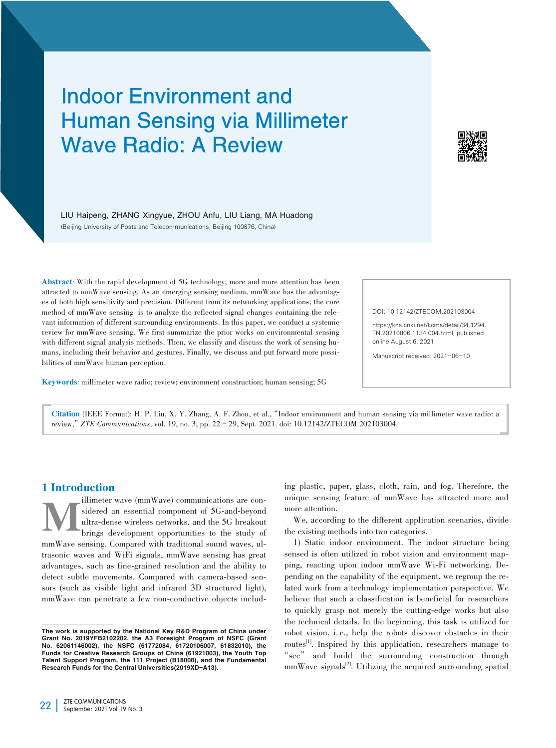# Indoor Environment and Human Sensing via Millimeter Wave Radio: A Review



LIU Haipeng, ZHANG Xingyue, ZHOU Anfu, LIU Liang, MA Huadong (Beijing University of Posts and Telecommunications, Beijing 100876, China)

Abstract: With the rapid development of 5G technology, more and more attention has been attracted to mmWave sensing. As an emerging sensing medium, mmWave has the advantages of both high sensitivity and precision. Different from its networking applications, the core method of mmWave sensing is to analyze the reflected signal changes containing the relevant information of different surrounding environments. In this paper, we conduct a systemic review for mmWave sensing. We first summarize the prior works on environmental sensing with different signal analysis methods. Then, we classify and discuss the work of sensing humans, including their behavior and gestures. Finally, we discuss and put forward more possibilities of mmWave human perception.

DOI: 10.12142/ZTECOM.202103004

https://kns.cnki.net/kcms/detail/34.1294. TN.20210806.1134.004.html, published online August 6, 2021

Manuscript received: 2021-06-10

Keywords: millimeter wave radio; review; environment construction; human sensing; 5G

Citation (IEEE Format): H. P. Liu, X. Y. Zhang, A. F. Zhou, et al.,"Indoor environment and human sensing via millimeter wave radio: a review,"*ZTE Communications*, vol. 19, no. 3, pp. 22–29, Sept. 2021. doi: 10.12142/ZTECOM.202103004.

# 1 Introduction

illimeter wave (mmWave) communications are considered an essential component of 5G-and-beyond ultra-dense wireless networks, and the 5G breakout brings development opportunities to the study of sidered an essential component of 5G-and-beyond ultra-dense wireless networks, and the 5G breakout brings development opportunities to the study of mmWave sensing. Compared with traditional sound waves, ultrasonic waves and WiFi signals, mmWave sensing has great advantages, such as fine-grained resolution and the ability to detect subtle movements. Compared with camera-based sensors (such as visible light and infrared 3D structured light), mmWave can penetrate a few non-conductive objects including plastic, paper, glass, cloth, rain, and fog. Therefore, the unique sensing feature of mmWave has attracted more and more attention.

We, according to the different application scenarios, divide the existing methods into two categories.

1) Static indoor environment. The indoor structure being sensed is often utilized in robot vision and environment mapping, reacting upon indoor mmWave Wi-Fi networking. Depending on the capability of the equipment, we regroup the re‑ lated work from a technology implementation perspective. We believe that such a classification is beneficial for researchers to quickly grasp not merely the cutting-edge works but also the technical details. In the beginning, this task is utilized for robot vision, i. e., help the robots discover obstacles in their routes<sup>[1]</sup>. Inspired by this application, researchers manage to "see" and build the surrounding construction through  $mmWave$  signals<sup>[2]</sup>. Utilizing the acquired surrounding spatial

The work is supported by the National Key R&D Program of China under Grant No. 2019YFB2102202, the A3 Foresight Program of NSFC (Grant No. 62061146002), the NSFC (61772084, 61720106007, 61832010), the Funds for Creative Research Groups of China (61921003), the Youth Top Talent Support Program, the 111 Project (B18008), and the Fundamental Research Funds for the Central Universities(2019XD-A13).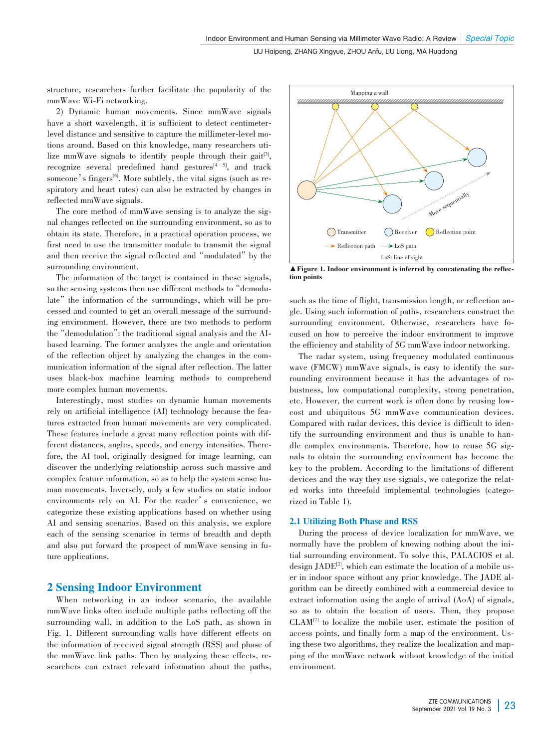structure, researchers further facilitate the popularity of the mmWave Wi-Fi networking.

2) Dynamic human movements. Since mmWave signals have a short wavelength, it is sufficient to detect centimeterlevel distance and sensitive to capture the millimeter-level motions around. Based on this knowledge, many researchers utilize mmWave signals to identify people through their gait<sup>[3]</sup>, recognize several predefined hand gestures<sup>[4-5]</sup>, and track someone's fingers<sup>[6]</sup>. More subtlely, the vital signs (such as respiratory and heart rates) can also be extracted by changes in reflected mmWave signals.

The core method of mmWave sensing is to analyze the signal changes reflected on the surrounding environment, so as to obtain its state. Therefore, in a practical operation process, we first need to use the transmitter module to transmit the signal and then receive the signal reflected and "modulated" by the surrounding environment.

The information of the target is contained in these signals, so the sensing systems then use different methods to "demodulate" the information of the surroundings, which will be processed and counted to get an overall message of the surrounding environment. However, there are two methods to perform the"demodulation": the traditional signal analysis and the AIbased learning. The former analyzes the angle and orientation of the reflection object by analyzing the changes in the communication information of the signal after reflection. The latter uses black-box machine learning methods to comprehend more complex human movements.

Interestingly, most studies on dynamic human movements rely on artificial intelligence (AI) technology because the features extracted from human movements are very complicated. These features include a great many reflection points with different distances, angles, speeds, and energy intensities. Therefore, the AI tool, originally designed for image learning, can discover the underlying relationship across such massive and complex feature information, so as to help the system sense human movements. Inversely, only a few studies on static indoor environments rely on AI. For the reader's convenience, we categorize these existing applications based on whether using AI and sensing scenarios. Based on this analysis, we explore each of the sensing scenarios in terms of breadth and depth and also put forward the prospect of mmWave sensing in future applications.

# 2 Sensing Indoor Environment

When networking in an indoor scenario, the available mmWave links often include multiple paths reflecting off the surrounding wall, in addition to the LoS path, as shown in Fig. 1. Different surrounding walls have different effects on the information of received signal strength (RSS) and phase of the mmWave link paths. Then by analyzing these effects, researchers can extract relevant information about the paths,



▲ Figure 1. Indoor environment is inferred by concatenating the reflection points

such as the time of flight, transmission length, or reflection angle. Using such information of paths, researchers construct the surrounding environment. Otherwise, researchers have focused on how to perceive the indoor environment to improve the efficiency and stability of 5G mmWave indoor networking.

The radar system, using frequency modulated continuous wave (FMCW) mmWave signals, is easy to identify the surrounding environment because it has the advantages of robustness, low computational complexity, strong penetration, etc. However, the current work is often done by reusing lowcost and ubiquitous 5G mmWave communication devices. Compared with radar devices, this device is difficult to identify the surrounding environment and thus is unable to handle complex environments. Therefore, how to reuse 5G signals to obtain the surrounding environment has become the key to the problem. According to the limitations of different devices and the way they use signals, we categorize the related works into threefold implemental technologies (categorized in Table 1).

## 2.1 Utilizing Both Phase and RSS

During the process of device localization for mmWave, we normally have the problem of knowing nothing about the initial surrounding environment. To solve this, PALACIOS et al. design  $JADE^{[2]}$ , which can estimate the location of a mobile user in indoor space without any prior knowledge. The JADE algorithm can be directly combined with a commercial device to extract information using the angle of arrival (AoA) of signals, so as to obtain the location of users. Then, they propose  $CLAM^{[7]}$  to localize the mobile user, estimate the position of access points, and finally form a map of the environment. Using these two algorithms, they realize the localization and mapping of the mmWave network without knowledge of the initial environment.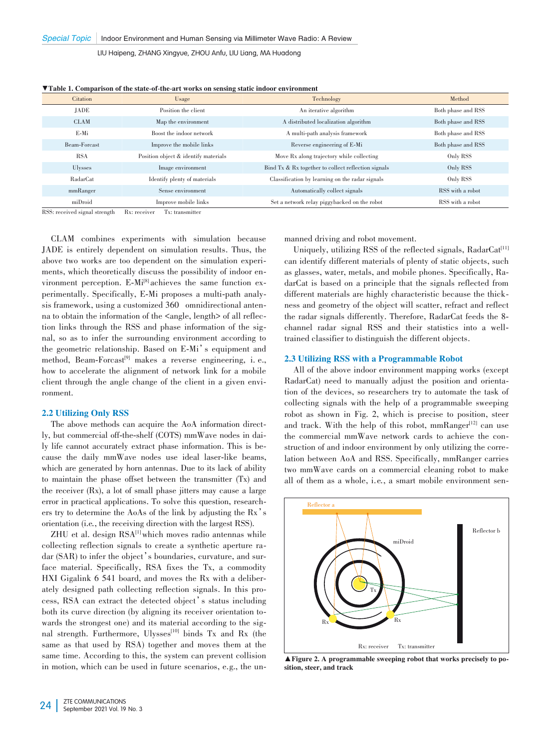|               | Citation       | Usage                                | Technology                                          | Method             |  |  |  |
|---------------|----------------|--------------------------------------|-----------------------------------------------------|--------------------|--|--|--|
|               | JADE           | Position the client                  | An iterative algorithm                              | Both phase and RSS |  |  |  |
|               | <b>CLAM</b>    | Map the environment                  | A distributed localization algorithm                | Both phase and RSS |  |  |  |
|               | E-Mi           | Boost the indoor network             | A multi-path analysis framework                     | Both phase and RSS |  |  |  |
|               | Beam-Forcast   | Improve the mobile links             | Reverse engineering of E-Mi                         | Both phase and RSS |  |  |  |
|               | <b>RSA</b>     | Position object & identify materials | Move Rx along trajectory while collecting           | Only RSS           |  |  |  |
|               | <b>Ulysses</b> | Image environment                    | Bind Tx & Rx together to collect reflection signals | Only RSS           |  |  |  |
|               | RadarCat       | Identify plenty of materials         | Classification by learning on the radar signals     | Only RSS           |  |  |  |
|               | mmRanger       | Sense environment                    | Automatically collect signals                       | RSS with a robot   |  |  |  |
|               | miDroid        | Improve mobile links                 | Set a network relay piggybacked on the robot        | RSS with a robot   |  |  |  |
| <b>MALCON</b> |                | <b>Service</b>                       |                                                     |                    |  |  |  |

▼Table 1. Comparison of the state-of-the-art works on sensing static indoor environment

RSS: received signal strength Rx: receiver Tx: transmitter

CLAM combines experiments with simulation because JADE is entirely dependent on simulation results. Thus, the above two works are too dependent on the simulation experiments, which theoretically discuss the possibility of indoor environment perception. E-Mi<sup>[8]</sup> achieves the same function experimentally. Specifically, E-Mi proposes a multi-path analysis framework, using a customized 360 omnidirectional antenna to obtain the information of the *<*angle, length*>* of all reflec‑ tion links through the RSS and phase information of the signal, so as to infer the surrounding environment according to the geometric relationship. Based on E-Mi's equipment and method, Beam-Forcast<sup>[9]</sup> makes a reverse engineering, i.e., how to accelerate the alignment of network link for a mobile client through the angle change of the client in a given environment.

#### 2.2 Utilizing Only RSS

The above methods can acquire the AoA information directly, but commercial off-the-shelf (COTS) mmWave nodes in daily life cannot accurately extract phase information. This is because the daily mmWave nodes use ideal laser-like beams, which are generated by horn antennas. Due to its lack of ability to maintain the phase offset between the transmitter (Tx) and the receiver (Rx), a lot of small phase jitters may cause a large error in practical applications. To solve this question, researchers try to determine the AoAs of the link by adjusting the Rx's orientation (i.e*.*, the receiving direction with the largest RSS).

 $ZHU$  et al. design  $RSA^{\text{II}}$  which moves radio antennas while collecting reflection signals to create a synthetic aperture radar (SAR) to infer the object's boundaries, curvature, and surface material. Specifically, RSA fixes the Tx, a commodity HXI Gigalink 6 541 board, and moves the Rx with a deliberately designed path collecting reflection signals. In this process, RSA can extract the detected object's status including both its curve direction (by aligning its receiver orientation towards the strongest one) and its material according to the signal strength. Furthermore, Ulysses<sup>[10]</sup> binds Tx and Rx (the same as that used by RSA) together and moves them at the same time. According to this, the system can prevent collision in motion, which can be used in future scenarios, e.g., the unmanned driving and robot movement.

Uniquely, utilizing RSS of the reflected signals, RadarCat<sup>[11]</sup> can identify different materials of plenty of static objects, such as glasses, water, metals, and mobile phones. Specifically, RadarCat is based on a principle that the signals reflected from different materials are highly characteristic because the thick– ness and geometry of the object will scatter, refract and reflect the radar signals differently. Therefore, RadarCat feeds the 8 channel radar signal RSS and their statistics into a welltrained classifier to distinguish the different objects.

#### 2.3 Utilizing RSS with a Programmable Robot

All of the above indoor environment mapping works (except RadarCat) need to manually adjust the position and orientation of the devices, so researchers try to automate the task of collecting signals with the help of a programmable sweeping robot as shown in Fig. 2, which is precise to position, steer and track. With the help of this robot,  $mmRanger^{[12]}$  can use the commercial mmWave network cards to achieve the construction of and indoor environment by only utilizing the correlation between AoA and RSS. Specifically, mmRanger carries two mmWave cards on a commercial cleaning robot to make all of them as a whole, i.e., a smart mobile environment sen-



▲Figure 2. A programmable sweeping robot that works precisely to po⁃ sition, steer, and track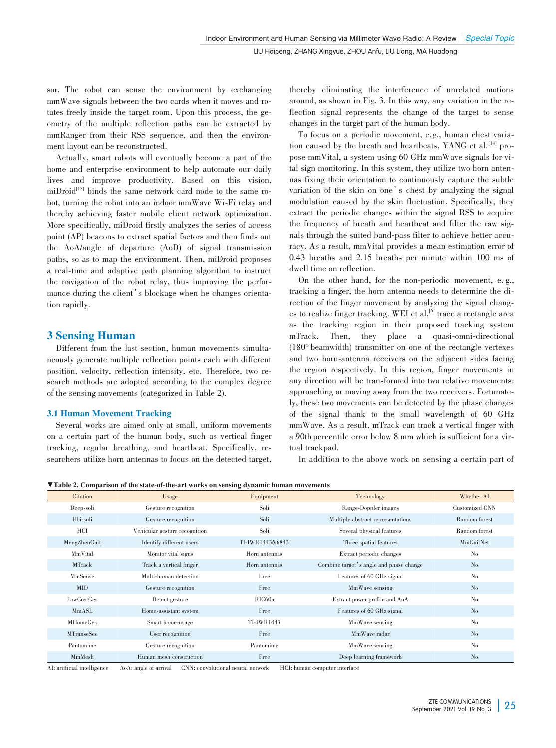sor. The robot can sense the environment by exchanging mmWave signals between the two cards when it moves and rotates freely inside the target room. Upon this process, the geometry of the multiple reflection paths can be extracted by mmRanger from their RSS sequence, and then the environment layout can be reconstructed.

Actually, smart robots will eventually become a part of the home and enterprise environment to help automate our daily lives and improve productivity. Based on this vision, miDroid<sup>[13]</sup> binds the same network card node to the same robot, turning the robot into an indoor mmWave Wi-Fi relay and thereby achieving faster mobile client network optimization. More specifically, miDroid firstly analyzes the series of access point (AP) beacons to extract spatial factors and then finds out the AoA/angle of departure (AoD) of signal transmission paths, so as to map the environment. Then, miDroid proposes a real-time and adaptive path planning algorithm to instruct the navigation of the robot relay, thus improving the performance during the client's blockage when he changes orientation rapidly.

# 3 Sensing Human

Different from the last section, human movements simultaneously generate multiple reflection points each with different position, velocity, reflection intensity, etc. Therefore, two re‑ search methods are adopted according to the complex degree of the sensing movements (categorized in Table 2).

# 3.1 Human Movement Tracking

Several works are aimed only at small, uniform movements on a certain part of the human body, such as vertical finger tracking, regular breathing, and heartbeat. Specifically, re‑ searchers utilize horn antennas to focus on the detected target, thereby eliminating the interference of unrelated motions around, as shown in Fig. 3. In this way, any variation in the re‑ flection signal represents the change of the target to sense changes in the target part of the human body.

To focus on a periodic movement, e.g., human chest variation caused by the breath and heartbeats, YANG et al.<sup>[14]</sup> propose mmVital, a system using 60 GHz mmWave signals for vital sign monitoring. In this system, they utilize two horn antennas fixing their orientation to continuously capture the subtle variation of the skin on one's chest by analyzing the signal modulation caused by the skin fluctuation. Specifically, they extract the periodic changes within the signal RSS to acquire the frequency of breath and heartbeat and filter the raw signals through the suited band-pass filter to achieve better accuracy. As a result, mmVital provides a mean estimation error of 0.43 breaths and 2.15 breaths per minute within 100 ms of dwell time on reflection.

On the other hand, for the non-periodic movement, e. g., tracking a finger, the horn antenna needs to determine the direction of the finger movement by analyzing the signal changes to realize finger tracking. WEI et al.<sup>[6]</sup> trace a rectangle area as the tracking region in their proposed tracking system mTrack. Then, they place a quasi-omni-directional (180° beamwidth) transmitter on one of the rectangle vertexes and two horn-antenna receivers on the adjacent sides facing the region respectively. In this region, finger movements in any direction will be transformed into two relative movements: approaching or moving away from the two receivers. Fortunately, these two movements can be detected by the phase changes of the signal thank to the small wavelength of 60 GHz mmWave. As a result, mTrack can track a vertical finger with a 90th percentile error below 8 mm which is sufficient for a virtual trackpad.

In addition to the above work on sensing a certain part of

▼Table 2. Comparison of the state-of-the-art works on sensing dynamic human movements

| Citation          | Usage                         | Equipment       | Technology                              | Whether AI             |
|-------------------|-------------------------------|-----------------|-----------------------------------------|------------------------|
| Deep-soli         | Gesture recognition           | Soli            | Range-Doppler images                    | Customized CNN         |
| Ubi-soli          | Gesture recognition           | Soli            | Multiple abstract representations       | Random forest          |
| HCI               | Vehicular gesture recognition | Soli            | Several physical features               | Random forest          |
| MengZhenGait      | Identify different users      | TI-IWR1443&6843 | Three spatial features                  | MmGaitNet              |
| MmVital           | Monitor vital signs           | Horn antennas   | Extract periodic changes                | N <sub>o</sub>         |
| <b>MTrack</b>     | Track a vertical finger       | Horn antennas   | Combine target's angle and phase change | $\mathbf{N}\mathbf{o}$ |
| MmSense           | Multi-human detection         | Free            | Features of 60 GHz signal               | N <sub>o</sub>         |
| <b>MID</b>        | Gesture recognition           | Free            | MmWave sensing                          | $\rm No$               |
| LowCostGes        | Detect gesture                | RIC60a          | Extract power profile and AoA           | N <sub>o</sub>         |
| MmASL             | Home-assistant system         | Free            | Features of 60 GHz signal               | $\rm No$               |
| <b>MHomeGes</b>   | Smart home-usage              | TI-IWR1443      | MmWave sensing                          | N <sub>o</sub>         |
| <b>MTranseSee</b> | User recognition              | Free            | MmWave radar                            | No                     |
| Pantomime         | Gesture recognition           | Pantomime       | MmWave sensing                          | N <sub>o</sub>         |
| MmMesh            | Human mesh construction       | Free            | Deep learning framework                 | N <sub>o</sub>         |

AI: artificial intelligence AoA: angle of arrival CNN: convolutional neural network HCI: human computer interface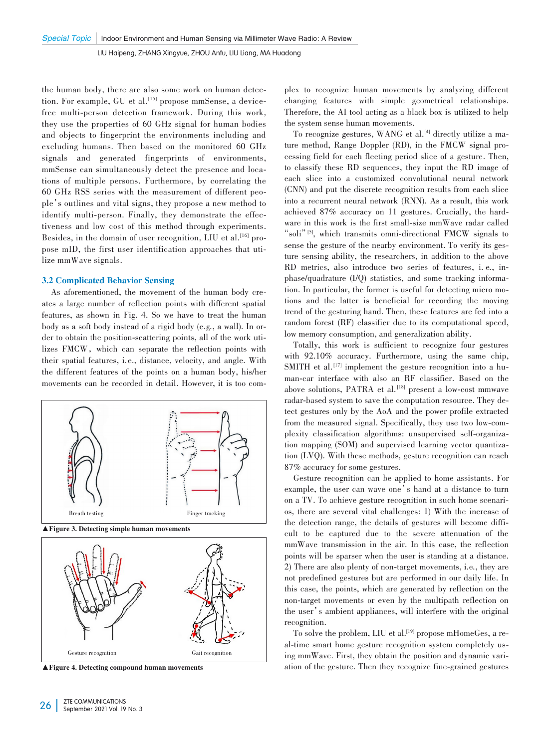the human body, there are also some work on human detection. For example, GU et al. [15] propose mmSense, a devicefree multi-person detection framework. During this work, they use the properties of 60 GHz signal for human bodies and objects to fingerprint the environments including and excluding humans. Then based on the monitored 60 GHz signals and generated fingerprints of environments, mmSense can simultaneously detect the presence and locations of multiple persons. Furthermore, by correlating the 60 GHz RSS series with the measurement of different peo‑ ple's outlines and vital signs, they propose a new method to identify multi-person. Finally, they demonstrate the effectiveness and low cost of this method through experiments. Besides, in the domain of user recognition, LIU et al.<sup>[16]</sup> propose mID, the first user identification approaches that utilize mmWave signals.

#### 3.2 Complicated Behavior Sensing

As aforementioned, the movement of the human body creates a large number of reflection points with different spatial features, as shown in Fig. 4. So we have to treat the human body as a soft body instead of a rigid body (e.g*.*, a wall). In or‑ der to obtain the position-scattering points, all of the work utilizes FMCW, which can separate the reflection points with their spatial features, i.e., distance, velocity, and angle. With the different features of the points on a human body, his/her movements can be recorded in detail. However, it is too com-



▲ Figure 3. Detecting simple human movements



▲ Figure 4. Detecting compound human movements

plex to recognize human movements by analyzing different changing features with simple geometrical relationships. Therefore, the AI tool acting as a black box is utilized to help the system sense human movements.

To recognize gestures, WANG et al.<sup>[4]</sup> directly utilize a mature method, Range Doppler (RD), in the FMCW signal processing field for each fleeting period slice of a gesture. Then, to classify these RD sequences, they input the RD image of each slice into a customized convolutional neural network (CNN) and put the discrete recognition results from each slice into a recurrent neural network (RNN). As a result, this work achieved 87% accuracy on 11 gestures. Crucially, the hardware in this work is the first small-size mmWave radar called "soli"<sup>[5]</sup>, which transmits omni-directional FMCW signals to sense the gesture of the nearby environment. To verify its gesture sensing ability, the researchers, in addition to the above RD metrics, also introduce two series of features, i. e*.*, in $phase/quadrature (I/Q) statistics, and some tracking informa$ tion. In particular, the former is useful for detecting micro motions and the latter is beneficial for recording the moving trend of the gesturing hand. Then, these features are fed into a random forest (RF) classifier due to its computational speed, low memory consumption, and generalization ability.

Totally, this work is sufficient to recognize four gestures with  $92.10\%$  accuracy. Furthermore, using the same chip, SMITH et al.<sup>[17]</sup> implement the gesture recognition into a human-car interface with also an RF classifier. Based on the above solutions, PATRA et al. [18] present a low-cost mmwave radar-based system to save the computation resource. They detect gestures only by the AoA and the power profile extracted from the measured signal. Specifically, they use two low-complexity classification algorithms: unsupervised self-organization mapping (SOM) and supervised learning vector quantization (LVQ). With these methods, gesture recognition can reach 87% accuracy for some gestures.

Gesture recognition can be applied to home assistants. For example, the user can wave one's hand at a distance to turn on a TV. To achieve gesture recognition in such home scenarios, there are several vital challenges: 1) With the increase of the detection range, the details of gestures will become difficult to be captured due to the severe attenuation of the mmWave transmission in the air. In this case, the reflection points will be sparser when the user is standing at a distance. 2) There are also plenty of non-target movements, i.e*.*, they are not predefined gestures but are performed in our daily life. In this case, the points, which are generated by reflection on the non-target movements or even by the multipath reflection on the user's ambient appliances, will interfere with the original recognition.

To solve the problem, LIU et al.<sup>[19]</sup> propose mHomeGes, a real-time smart home gesture recognition system completely using mmWave. First, they obtain the position and dynamic variation of the gesture. Then they recognize fine-grained gestures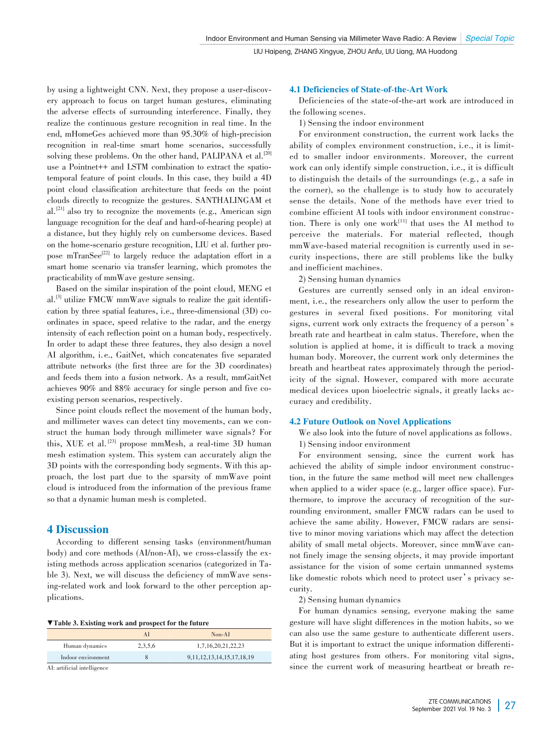by using a lightweight CNN. Next, they propose a user-discovery approach to focus on target human gestures, eliminating the adverse effects of surrounding interference. Finally, they realize the continuous gesture recognition in real time. In the end, mHomeGes achieved more than 95.30% of high-precision recognition in real-time smart home scenarios, successfully solving these problems. On the other hand, PALIPANA et al. $^{[20]}$ use a Pointnet++ and LSTM combination to extract the spatiotemporal feature of point clouds. In this case, they build a 4D point cloud classification architecture that feeds on the point clouds directly to recognize the gestures. SANTHALINGAM et al.<sup>[21]</sup> also try to recognize the movements (e.g., American sign language recognition for the deaf and hard-of-hearing people) at a distance, but they highly rely on cumbersome devices. Based on the home-scenario gesture recognition, LIU et al. further propose mTranSee<sup>[22]</sup> to largely reduce the adaptation effort in a smart home scenario via transfer learning, which promotes the practicability of mmWave gesture sensing.

Based on the similar inspiration of the point cloud, MENG et al.<sup>[3]</sup> utilize FMCW mmWave signals to realize the gait identification by three spatial features, i.e., three-dimensional (3D) coordinates in space, speed relative to the radar, and the energy intensity of each reflection point on a human body, respectively. In order to adapt these three features, they also design a novel AI algorithm, i. e., GaitNet, which concatenates five separated attribute networks (the first three are for the 3D coordinates) and feeds them into a fusion network. As a result, mmGaitNet achieves 90% and 88% accuracy for single person and five coexisting person scenarios, respectively.

Since point clouds reflect the movement of the human body, and millimeter waves can detect tiny movements, can we construct the human body through millimeter wave signals? For this, XUE et al. [23] propose mmMesh, a real-time 3D human mesh estimation system. This system can accurately align the 3D points with the corresponding body segments. With this approach, the lost part due to the sparsity of mmWave point cloud is introduced from the information of the previous frame so that a dynamic human mesh is completed.

# 4 Discussion

According to different sensing tasks (environment/human body) and core methods (AI/non-AI), we cross-classify the existing methods across application scenarios (categorized in Table 3). Next, we will discuss the deficiency of mmWave sensing-related work and look forward to the other perception applications.

| ▼Table 3. Existing work and prospect for the future |
|-----------------------------------------------------|
|-----------------------------------------------------|

|                             |         | $Non-AI$                          |
|-----------------------------|---------|-----------------------------------|
| Human dynamics              | 2,3,5,6 | 1,7,16,20,21,22,23                |
| Indoor environment          |         | 9, 11, 12, 13, 14, 15, 17, 18, 19 |
| AI: artificial intelligence |         |                                   |

#### 4.1 Deficiencies of State-of-the-Art Work

Deficiencies of the state-of-the-art work are introduced in the following scenes.

1) Sensing the indoor environment

For environment construction, the current work lacks the ability of complex environment construction, i.e., it is limited to smaller indoor environments. Moreover, the current work can only identify simple construction, i.e., it is difficult to distinguish the details of the surroundings (e.g*.*, a safe in the corner), so the challenge is to study how to accurately sense the details. None of the methods have ever tried to combine efficient AI tools with indoor environment construction. There is only one work<sup>[11]</sup> that uses the AI method to perceive the materials. For material reflected, though mmWave-based material recognition is currently used in security inspections, there are still problems like the bulky and inefficient machines.

2) Sensing human dynamics

Gestures are currently sensed only in an ideal environment, i.e*.*, the researchers only allow the user to perform the gestures in several fixed positions. For monitoring vital signs, current work only extracts the frequency of a person's breath rate and heartbeat in calm status. Therefore, when the solution is applied at home, it is difficult to track a moving human body. Moreover, the current work only determines the breath and heartbeat rates approximately through the periodicity of the signal. However, compared with more accurate medical devices upon bioelectric signals, it greatly lacks accuracy and credibility.

## 4.2 Future Outlook on Novel Applications

We also look into the future of novel applications as follows. 1) Sensing indoor environment

For environment sensing, since the current work has achieved the ability of simple indoor environment construction, in the future the same method will meet new challenges when applied to a wider space (e.g., larger office space). Furthermore, to improve the accuracy of recognition of the surrounding environment, smaller FMCW radars can be used to achieve the same ability. However, FMCW radars are sensitive to minor moving variations which may affect the detection ability of small metal objects. Moreover, since mmWave cannot finely image the sensing objects, it may provide important assistance for the vision of some certain unmanned systems like domestic robots which need to protect user's privacy security.

2) Sensing human dynamics

For human dynamics sensing, everyone making the same gesture will have slight differences in the motion habits, so we can also use the same gesture to authenticate different users. But it is important to extract the unique information differentiating host gestures from others. For monitoring vital signs, since the current work of measuring heartbeat or breath re-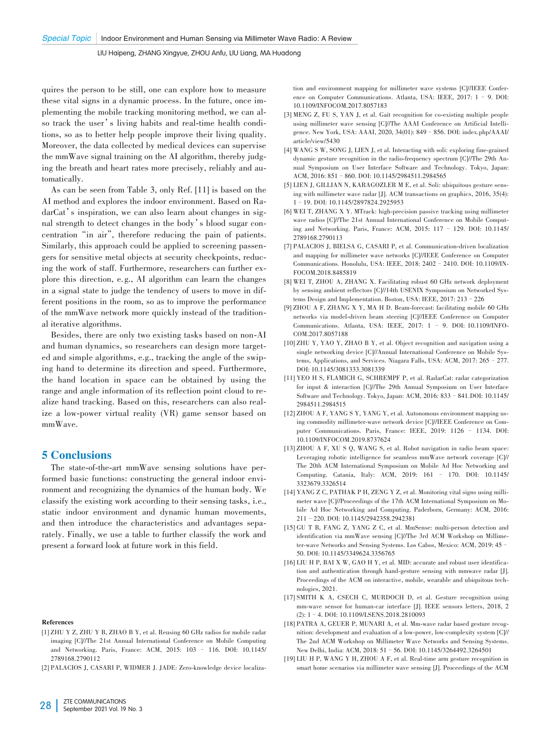quires the person to be still, one can explore how to measure these vital signs in a dynamic process. In the future, once implementing the mobile tracking monitoring method, we can also track the user's living habits and real-time health conditions, so as to better help people improve their living quality. Moreover, the data collected by medical devices can supervise the mmWave signal training on the AI algorithm, thereby judging the breath and heart rates more precisely, reliably and automatically.

As can be seen from Table 3, only Ref. [11] is based on the AI method and explores the indoor environment. Based on RadarCat's inspiration, we can also learn about changes in signal strength to detect changes in the body's blood sugar concentration"in air", therefore reducing the pain of patients. Similarly, this approach could be applied to screening passengers for sensitive metal objects at security checkpoints, reducing the work of staff. Furthermore, researchers can further explore this direction, e. g., AI algorithm can learn the changes in a signal state to judge the tendency of users to move in different positions in the room, so as to improve the performance of the mmWave network more quickly instead of the traditional iterative algorithms.

Besides, there are only two existing tasks based on non-AI and human dynamics, so researchers can design more targeted and simple algorithms, e.g., tracking the angle of the swiping hand to determine its direction and speed. Furthermore, the hand location in space can be obtained by using the range and angle information of its reflection point cloud to realize hand tracking. Based on this, researchers can also realize a low-power virtual reality (VR) game sensor based on mmWave.

## 5 Conclusions

The state-of-the-art mmWave sensing solutions have performed basic functions: constructing the general indoor environment and recognizing the dynamics of the human body. We classify the existing work according to their sensing tasks, i.e., static indoor environment and dynamic human movements, and then introduce the characteristics and advantages separately. Finally, we use a table to further classify the work and present a forward look at future work in this field.

#### References

- [1] ZHU Y Z, ZHU Y B, ZHAO B Y, et al. Reusing 60 GHz radios for mobile radar imaging [C]//The 21st Annual International Conference on Mobile Computing and Networking. Paris, France: ACM, 2015: 103 – 116. DOI: 10.1145/ 2789168.2790112
- [2] PALACIOS J, CASARI P, WIDMER J. JADE: Zero-knowledge device localiza-

tion and environment mapping for millimeter wave systems [C]//IEEE Conference on Computer Communications. Atlanta, USA: IEEE, 2017: 1 – 9. DOI: 10.1109/INFOCOM.2017.8057183

- [3] MENG Z, FU S, YAN J, et al. Gait recognition for co-existing multiple people using millimeter wave sensing [C]//The AAAI Conference on Artificial Intelligence. New York, USA: AAAI, 2020, 34(01): 849–856. DOI: index.php/AAAI/ article/view/5430
- [4] WANG S W, SONG J, LIEN J, et al. Interacting with soli: exploring fine-grained dynamic gesture recognition in the radio-frequency spectrum [C]//The 29th Annual Symposium on User Interface Software and Technology. Tokyo, Japan: ACM, 2016: 851–860. DOI: 10.1145/2984511.2984565
- [5] LIEN J, GILLIAN N, KARAGOZLER M E, et al. Soli: ubiquitous gesture sensing with millimeter wave radar [J]. ACM transactions on graphics, 2016, 35(4): 1–19. DOI: 10.1145/2897824.2925953
- [6] WEI T, ZHANG X Y. MTrack: high-precision passive tracking using millimeter wave radios [C]//The 21st Annual International Conference on Mobile Computing and Networking. Paris, France: ACM, 2015: 117 – 129. DOI: 10.1145/ 2789168.2790113
- [7] PALACIOS J, BIELSA G, CASARI P, et al. Communication‑driven localization and mapping for millimeter wave networks [C]//IEEE Conference on Computer Communications. Honolulu, USA: IEEE, 2018: 2402–2410. DOI: 10.1109/IN‑ FOCOM.2018.8485819
- [8] WEI T, ZHOU A, ZHANG X. Facilitating robust 60 GHz network deployment by sensing ambient reflectors [C]//14th USENIX Symposium on Networked Systems Design and Implementation. Boston, USA: IEEE, 2017: 213–226
- [9] ZHOU A F, ZHANG X Y, MA H D. Beam‑forecast: facilitating mobile 60 GHz networks via model‑driven beam steering [C]//IEEE Conference on Computer Communications. Atlanta, USA: IEEE, 2017: 1 - 9. DOI: 10.1109/INFO-COM.2017.8057188
- [10] ZHU Y, YAO Y, ZHAO B Y, et al. Object recognition and navigation using a single networking device [C]//Annual International Conference on Mobile Systems, Applications, and Services. Niagara Falls, USA: ACM, 2017: 265–277. DOI: 10.1145/3081333.3081339
- [11] YEO H S, FLAMICH G, SCHREMPF P, et al. RadarCat: radar categorization for input & interaction [C]//The 29th Annual Symposium on User Interface Software and Technology. Tokyo, Japan: ACM, 2016: 833–841.DOI: 10.1145/ 2984511.2984515
- [12] ZHOU A F, YANG S Y, YANG Y, et al. Autonomous environment mapping using commodity millimeter-wave network device  $ICV/IEEE$  Conference on Computer Communications. Paris, France: IEEE, 2019: 1126 – 1134. DOI: 10.1109/INFOCOM.2019.8737624
- [13] ZHOU A F, XU S Q, WANG S, et al. Robot navigation in radio beam space: Leveraging robotic intelligence for seamless mmWave network coverage [C]// The 20th ACM International Symposium on Mobile Ad Hoc Networking and Computing. Catania, Italy: ACM, 2019: 161 – 170. DOI: 10.1145/ 3323679.3326514
- [14] YANG Z C, PATHAK P H, ZENG Y Z, et al. Monitoring vital signs using millimeter wave [C]//Proceedings of the 17th ACM International Symposium on Mobile Ad Hoc Networking and Computing. Paderborn, Germany: ACM, 2016: 211–220. DOI: 10.1145/2942358.2942381
- [15] GU T B, FANG Z, YANG Z C, et al. MmSense: multi‑person detection and identification via mmWave sensing [C]//The 3rd ACM Workshop on Millimeter-wave Networks and Sensing Systems. Los Cabos, Mexico: ACM, 2019: 45 -50. DOI: 10.1145/3349624.3356765
- [16] LIU H P, BAI X W, GAO H Y, et al. MID: accurate and robust user identification and authentication through hand‑gesture sensing with mmwave radar [J]. Proceedings of the ACM on interactive, mobile, wearable and ubiquitous technologies, 2021.
- [17] SMITH K A, CSECH C, MURDOCH D, et al. Gesture recognition using mm-wave sensor for human-car interface [J]. IEEE sensors letters, 2018, 2 (2): 1–4. DOI: 10.1109/LSENS.2018.2810093
- [18] PATRA A, GEUER P, MUNARI A, et al. Mm-wave radar based gesture recognition: development and evaluation of a low‑power, low‑complexity system [C]// The 2nd ACM Workshop on Millimeter Wave Networks and Sensing Systems. New Delhi, India: ACM, 2018: 51–56. DOI: 10.1145/3264492.3264501
- [19] LIU H P, WANG Y H, ZHOU A F, et al. Real‑time arm gesture recognition in smart home scenarios via millimeter wave sensing [J]. Proceedings of the ACM